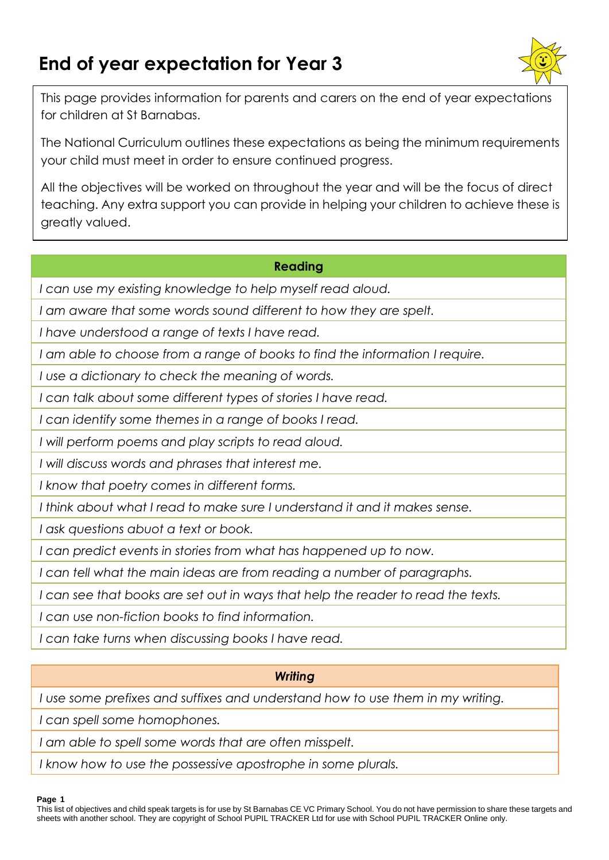# **End of year expectation for Year 3**



This page provides information for parents and carers on the end of year expectations for children at St Barnabas.

The National Curriculum outlines these expectations as being the minimum requirements your child must meet in order to ensure continued progress.

All the objectives will be worked on throughout the year and will be the focus of direct teaching. Any extra support you can provide in helping your children to achieve these is greatly valued.

#### **Reading**

*I can use my existing knowledge to help myself read aloud.*

*I am aware that some words sound different to how they are spelt.*

*I have understood a range of texts I have read.*

*I am able to choose from a range of books to find the information I require.*

*I use a dictionary to check the meaning of words.*

*I can talk about some different types of stories I have read.*

*I can identify some themes in a range of books I read.*

*I will perform poems and play scripts to read aloud.*

*I will discuss words and phrases that interest me.*

*I know that poetry comes in different forms.*

*I think about what I read to make sure I understand it and it makes sense.*

*I ask questions abuot a text or book.*

*I can predict events in stories from what has happened up to now.*

*I can tell what the main ideas are from reading a number of paragraphs.*

*I can see that books are set out in ways that help the reader to read the texts.*

*I can use non-fiction books to find information.*

*I can take turns when discussing books I have read.*

# *Writing*

*I use some prefixes and suffixes and understand how to use them in my writing.*

*I can spell some homophones.*

*I am able to spell some words that are often misspelt.*

*I know how to use the possessive apostrophe in some plurals.*

**Page 1**

This list of objectives and child speak targets is for use by St Barnabas CE VC Primary School. You do not have permission to share these targets and sheets with another school. They are copyright of School PUPIL TRACKER Ltd for use with School PUPIL TRACKER Online only.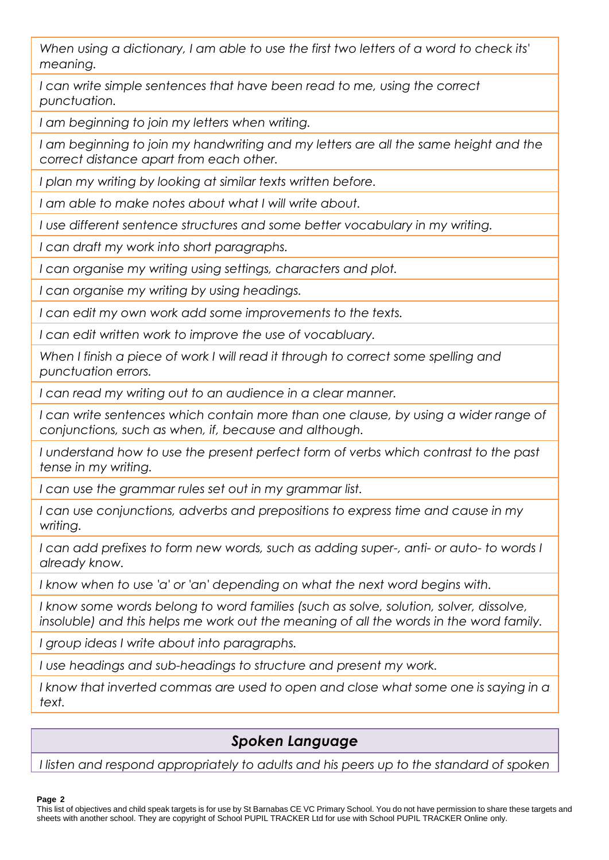*When using a dictionary, I am able to use the first two letters of a word to check its' meaning.*

*I can write simple sentences that have been read to me, using the correct punctuation.*

*I am beginning to join my letters when writing.*

I am beginning to join my handwriting and my letters are all the same height and the *correct distance apart from each other.*

*I plan my writing by looking at similar texts written before.*

*I am able to make notes about what I will write about.*

*I use different sentence structures and some better vocabulary in my writing.*

*I can draft my work into short paragraphs.*

*I can organise my writing using settings, characters and plot.*

*I can organise my writing by using headings.*

*I can edit my own work add some improvements to the texts.*

*I can edit written work to improve the use of vocabluary.*

*When I finish a piece of work I will read it through to correct some spelling and punctuation errors.*

*I can read my writing out to an audience in a clear manner.*

*I can write sentences which contain more than one clause, by using a wider range of conjunctions, such as when, if, because and although.*

*I understand how to use the present perfect form of verbs which contrast to the past tense in my writing.*

*I can use the grammar rules set out in my grammar list.*

*I can use conjunctions, adverbs and prepositions to express time and cause in my writing.*

*I can add prefixes to form new words, such as adding super-, anti- or auto- to words I already know.*

*I know when to use 'a' or 'an' depending on what the next word begins with.*

*I know some words belong to word families (such as solve, solution, solver, dissolve, insoluble) and this helps me work out the meaning of all the words in the word family.*

*I group ideas I write about into paragraphs.*

*I use headings and sub-headings to structure and present my work.*

I know that inverted commas are used to open and close what some one is saying in a *text.*

# *Spoken Language*

*I listen and respond appropriately to adults and his peers up to the standard of spoken* 

#### **Page 2**

This list of objectives and child speak targets is for use by St Barnabas CE VC Primary School. You do not have permission to share these targets and sheets with another school. They are copyright of School PUPIL TRACKER Ltd for use with School PUPIL TRACKER Online only.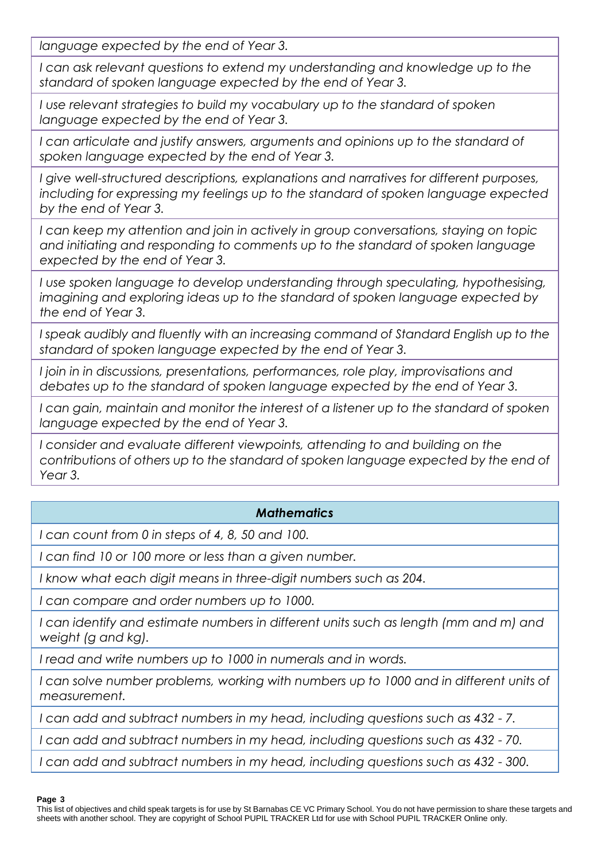*language expected by the end of Year 3.*

*I can ask relevant questions to extend my understanding and knowledge up to the standard of spoken language expected by the end of Year 3.*

*I use relevant strategies to build my vocabulary up to the standard of spoken language expected by the end of Year 3.*

I can articulate and justify answers, arguments and opinions up to the standard of *spoken language expected by the end of Year 3.*

*I give well-structured descriptions, explanations and narratives for different purposes, including for expressing my feelings up to the standard of spoken language expected by the end of Year 3.*

*I can keep my attention and join in actively in group conversations, staying on topic and initiating and responding to comments up to the standard of spoken language expected by the end of Year 3.*

*I use spoken language to develop understanding through speculating, hypothesising, imagining and exploring ideas up to the standard of spoken language expected by the end of Year 3.*

*I speak audibly and fluently with an increasing command of Standard English up to the standard of spoken language expected by the end of Year 3.*

*I join in in discussions, presentations, performances, role play, improvisations and debates up to the standard of spoken language expected by the end of Year 3.*

*I can gain, maintain and monitor the interest of a listener up to the standard of spoken language expected by the end of Year 3.*

*I consider and evaluate different viewpoints, attending to and building on the contributions of others up to the standard of spoken language expected by the end of Year 3.*

# *Mathematics*

*I can count from 0 in steps of 4, 8, 50 and 100.*

*I can find 10 or 100 more or less than a given number.*

*I know what each digit means in three-digit numbers such as 204.*

*I can compare and order numbers up to 1000.*

*I can identify and estimate numbers in different units such as length (mm and m) and weight (g and kg).*

*I read and write numbers up to 1000 in numerals and in words.*

*I can solve number problems, working with numbers up to 1000 and in different units of measurement.*

*I can add and subtract numbers in my head, including questions such as 432 - 7.*

*I can add and subtract numbers in my head, including questions such as 432 - 70.*

*I can add and subtract numbers in my head, including questions such as 432 - 300.*

#### **Page 3**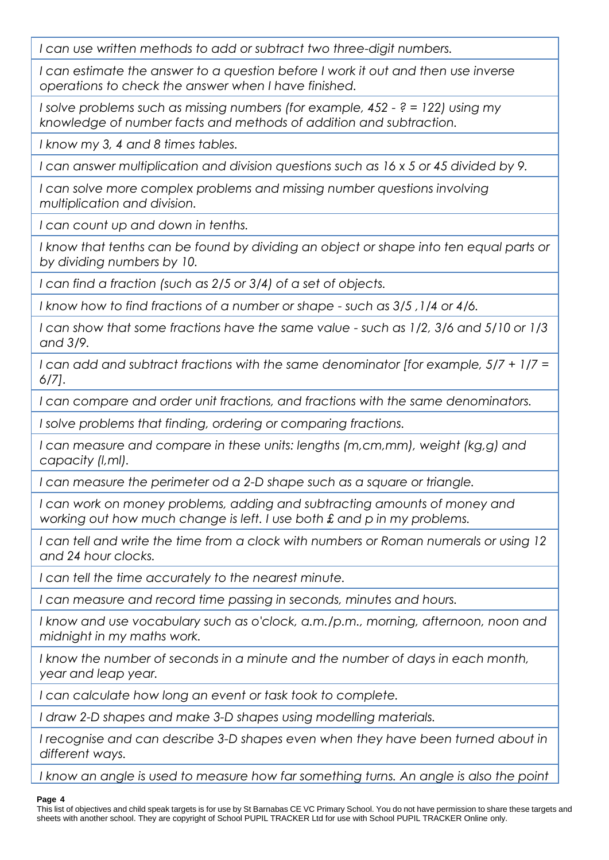*I can use written methods to add or subtract two three-digit numbers.*

*I* can estimate the answer to a question before I work it out and then use inverse *operations to check the answer when I have finished.*

*I solve problems such as missing numbers (for example, 452 - ? = 122) using my knowledge of number facts and methods of addition and subtraction.*

*I know my 3, 4 and 8 times tables.*

*I can answer multiplication and division questions such as 16 x 5 or 45 divided by 9.*

*I can solve more complex problems and missing number questions involving multiplication and division.*

*I can count up and down in tenths.*

I know that tenths can be found by dividing an object or shape into ten equal parts or *by dividing numbers by 10.*

*I can find a fraction (such as 2/5 or 3/4) of a set of objects.*

*I know how to find fractions of a number or shape - such as 3/5 ,1/4 or 4/6.*

*I can show that some fractions have the same value - such as 1/2, 3/6 and 5/10 or 1/3 and 3/9.*

*I can add and subtract fractions with the same denominator [for example, 5/7 + 1/7 = 6/7].*

*I can compare and order unit fractions, and fractions with the same denominators.*

*I solve problems that finding, ordering or comparing fractions.*

*I can measure and compare in these units: lengths (m,cm,mm), weight (kg,g) and capacity (l,ml).*

*I can measure the perimeter od a 2-D shape such as a square or triangle.*

*I can work on money problems, adding and subtracting amounts of money and working out how much change is left. I use both £ and p in my problems.*

*I can tell and write the time from a clock with numbers or Roman numerals or using 12 and 24 hour clocks.*

*I can tell the time accurately to the nearest minute.*

*I can measure and record time passing in seconds, minutes and hours.*

*I know and use vocabulary such as o'clock, a.m./p.m., morning, afternoon, noon and midnight in my maths work.*

*I know the number of seconds in a minute and the number of days in each month, year and leap year.*

*I can calculate how long an event or task took to complete.*

*I draw 2-D shapes and make 3-D shapes using modelling materials.*

*I recognise and can describe 3-D shapes even when they have been turned about in different ways.*

*I know an angle is used to measure how far something turns. An angle is also the point* 

#### **Page 4**

This list of objectives and child speak targets is for use by St Barnabas CE VC Primary School. You do not have permission to share these targets and sheets with another school. They are copyright of School PUPIL TRACKER Ltd for use with School PUPIL TRACKER Online only.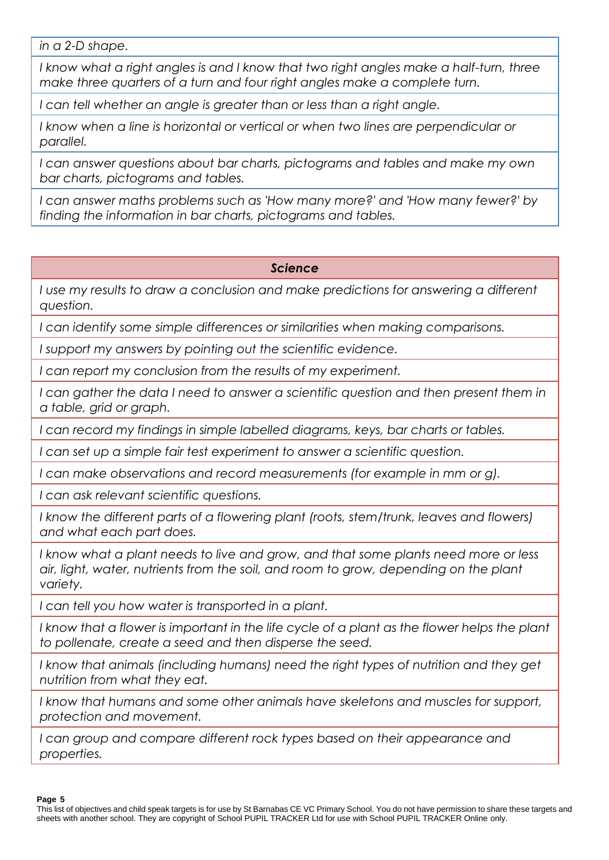*in a 2-D shape.*

*I know what a right angles is and I know that two right angles make a half-turn, three make three quarters of a turn and four right angles make a complete turn.*

*I can tell whether an angle is greater than or less than a right angle.*

*I* know when a line is horizontal or vertical or when two lines are perpendicular or *parallel.*

*I can answer questions about bar charts, pictograms and tables and make my own bar charts, pictograms and tables.*

*I can answer maths problems such as 'How many more?' and 'How many fewer?' by finding the information in bar charts, pictograms and tables.*

# *Science*

*I use my results to draw a conclusion and make predictions for answering a different question.*

*I can identify some simple differences or similarities when making comparisons.*

*I support my answers by pointing out the scientific evidence.*

*I can report my conclusion from the results of my experiment.*

*I* can gather the data I need to answer a scientific question and then present them in *a table, grid or graph.*

*I can record my findings in simple labelled diagrams, keys, bar charts or tables.*

*I can set up a simple fair test experiment to answer a scientific question.*

*I can make observations and record measurements (for example in mm or g).*

*I can ask relevant scientific questions.*

*I know the different parts of a flowering plant (roots, stem/trunk, leaves and flowers) and what each part does.*

*I know what a plant needs to live and grow, and that some plants need more or less*  air, light, water, nutrients from the soil, and room to grow, depending on the plant *variety.*

*I can tell you how water is transported in a plant.*

*I know that a flower is important in the life cycle of a plant as the flower helps the plant to pollenate, create a seed and then disperse the seed.*

*I know that animals (including humans) need the right types of nutrition and they get nutrition from what they eat.*

*I know that humans and some other animals have skeletons and muscles for support, protection and movement.*

*I can group and compare different rock types based on their appearance and properties.*

**Page 5**